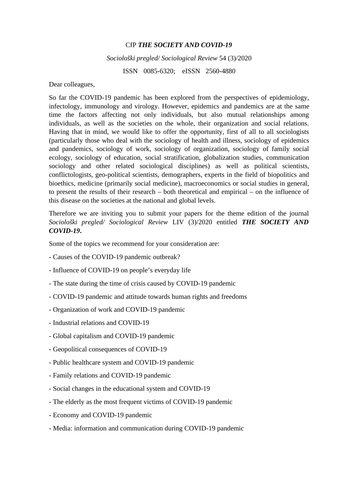## CfP *THE SOCIETY AND COVID-19*

## *Sociološki pregled/ Sociological Review* 54 (3)/2020

ISSN 0085-6320; eISSN 2560-4880

Dear colleagues,

So far the COVID-19 pandemic has been explored from the perspectives of epidemiology, infectology, immunology and virology. However, epidemics and pandemics are at the same time the factors affecting not only individuals, but also mutual relationships among individuals, as well as the societies on the whole, their organization and social relations. Having that in mind, we would like to offer the opportunity, first of all to all sociologists (particularly those who deal with the sociology of health and illness, sociology of epidemics and pandemics, sociology of work, sociology of organization, sociology of family social ecology, sociology of education, social stratification, globalization studies, communication sociology and other related sociological disciplines) as well as political scientists, conflictologists, geo-political scientists, demographers, experts in the field of biopolitics and bioethics, medicine (primarily social medicine), macroeconomics or social studies in general, to present the results of their research – both theoretical and empirical – on the influence of this disease on the societies at the national and global levels.

Therefore we are inviting you to submit your papers for the theme edition of the journal *Sociološki pregled/ Sociological Review* LIV (3)/2020 entitled *THE SOCIETY AND COVID-19***.**

Some of the topics we recommend for your consideration are:

- Causes of the COVID-19 pandemic outbreak?
- Influence of COVID-19 on people's everyday life
- The state during the time of crisis caused by COVID-19 pandemic
- COVID-19 pandemic and attitude towards human rights and freedoms
- Organization of work and COVID-19 pandemic
- Industrial relations and COVID-19
- Global capitalism and COVID-19 pandemic
- Geopolitical consequences of COVID-19
- Public healthcare system and COVID-19 pandemic
- Family relations and COVID-19 pandemic
- Social changes in the educational system and COVID-19
- The elderly as the most frequent victims of COVID-19 pandemic
- Economy and COVID-19 pandemic
- Media: information and communication during COVID-19 pandemic